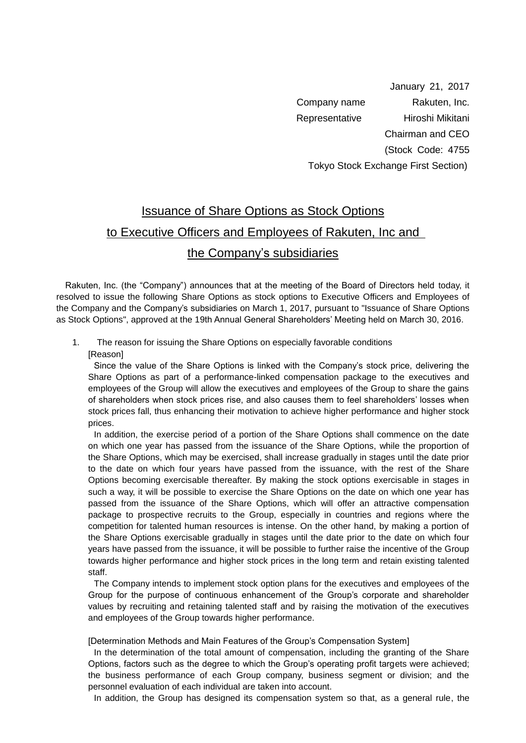January 21, 2017 Company name Rakuten, Inc. Representative Hiroshi Mikitani Chairman and CEO (Stock Code: 4755 Tokyo Stock Exchange First Section)

## Issuance of Share Options as Stock Options to Executive Officers and Employees of Rakuten, Inc and the Company's subsidiaries

 Rakuten, Inc. (the "Company") announces that at the meeting of the Board of Directors held today, it resolved to issue the following Share Options as stock options to Executive Officers and Employees of the Company and the Company's subsidiaries on March 1, 2017, pursuant to "Issuance of Share Options as Stock Options", approved at the 19th Annual General Shareholders' Meeting held on March 30, 2016.

## 1. The reason for issuing the Share Options on especially favorable conditions

[Reason]

Since the value of the Share Options is linked with the Company's stock price, delivering the Share Options as part of a performance-linked compensation package to the executives and employees of the Group will allow the executives and employees of the Group to share the gains of shareholders when stock prices rise, and also causes them to feel shareholders' losses when stock prices fall, thus enhancing their motivation to achieve higher performance and higher stock prices.

In addition, the exercise period of a portion of the Share Options shall commence on the date on which one year has passed from the issuance of the Share Options, while the proportion of the Share Options, which may be exercised, shall increase gradually in stages until the date prior to the date on which four years have passed from the issuance, with the rest of the Share Options becoming exercisable thereafter. By making the stock options exercisable in stages in such a way, it will be possible to exercise the Share Options on the date on which one year has passed from the issuance of the Share Options, which will offer an attractive compensation package to prospective recruits to the Group, especially in countries and regions where the competition for talented human resources is intense. On the other hand, by making a portion of the Share Options exercisable gradually in stages until the date prior to the date on which four years have passed from the issuance, it will be possible to further raise the incentive of the Group towards higher performance and higher stock prices in the long term and retain existing talented staff.

The Company intends to implement stock option plans for the executives and employees of the Group for the purpose of continuous enhancement of the Group's corporate and shareholder values by recruiting and retaining talented staff and by raising the motivation of the executives and employees of the Group towards higher performance.

[Determination Methods and Main Features of the Group's Compensation System]

In the determination of the total amount of compensation, including the granting of the Share Options, factors such as the degree to which the Group's operating profit targets were achieved; the business performance of each Group company, business segment or division; and the personnel evaluation of each individual are taken into account.

In addition, the Group has designed its compensation system so that, as a general rule, the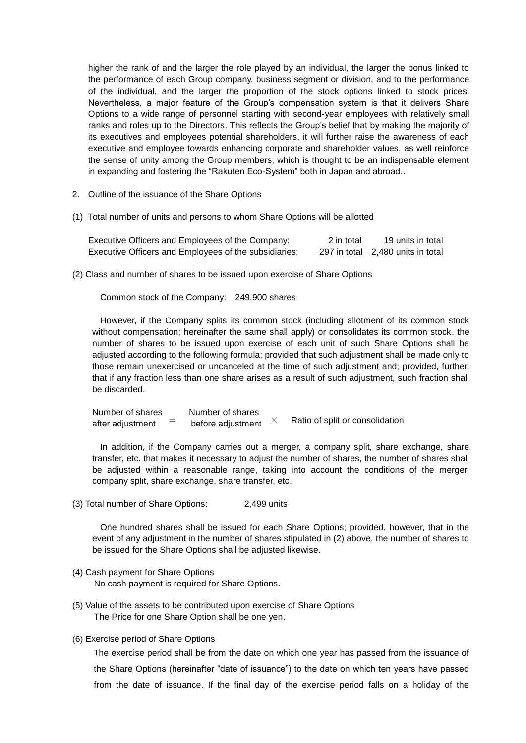higher the rank of and the larger the role played by an individual, the larger the bonus linked to the performance of each Group company, business segment or division, and to the performance of the individual, and the larger the proportion of the stock options linked to stock prices. Nevertheless, a major feature of the Group's compensation system is that it delivers Share Options to a wide range of personnel starting with second-year employees with relatively small ranks and roles up to the Directors. This reflects the Group's belief that by making the majority of its executives and employees potential shareholders, it will further raise the awareness of each executive and employee towards enhancing corporate and shareholder values, as well reinforce the sense of unity among the Group members, which is thought to be an indispensable element in expanding and fostering the "Rakuten Eco-System" both in Japan and abroad..

- 2. Outline of the issuance of the Share Options
- (1) Total number of units and persons to whom Share Options will be allotted

| Executive Officers and Employees of the Company:      | 2 in total | 19 units in total                 |
|-------------------------------------------------------|------------|-----------------------------------|
| Executive Officers and Employees of the subsidiaries: |            | 297 in total 2,480 units in total |

(2) Class and number of shares to be issued upon exercise of Share Options

Common stock of the Company: 249,900 shares

However, if the Company splits its common stock (including allotment of its common stock without compensation; hereinafter the same shall apply) or consolidates its common stock, the number of shares to be issued upon exercise of each unit of such Share Options shall be adjusted according to the following formula; provided that such adjustment shall be made only to those remain unexercised or uncanceled at the time of such adjustment and; provided, further, that if any fraction less than one share arises as a result of such adjustment, such fraction shall be discarded.

Number of shares Number of shares after adjustment  $\sigma$  = before adjustment  $\times$ Ratio of split or consolidation

In addition, if the Company carries out a merger, a company split, share exchange, share transfer, etc. that makes it necessary to adjust the number of shares, the number of shares shall be adjusted within a reasonable range, taking into account the conditions of the merger, company split, share exchange, share transfer, etc.

(3) Total number of Share Options: 2,499 units

One hundred shares shall be issued for each Share Options; provided, however, that in the event of any adjustment in the number of shares stipulated in (2) above, the number of shares to be issued for the Share Options shall be adjusted likewise.

- (4) Cash payment for Share Options No cash payment is required for Share Options.
- (5) Value of the assets to be contributed upon exercise of Share Options The Price for one Share Option shall be one yen.
- (6) Exercise period of Share Options

The exercise period shall be from the date on which one year has passed from the issuance of the Share Options (hereinafter "date of issuance") to the date on which ten years have passed from the date of issuance. If the final day of the exercise period falls on a holiday of the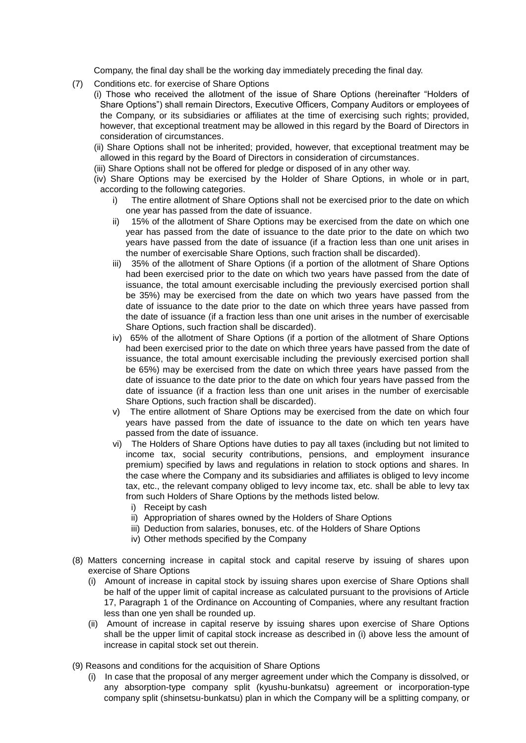Company, the final day shall be the working day immediately preceding the final day.

- (7) Conditions etc. for exercise of Share Options
	- (i) Those who received the allotment of the issue of Share Options (hereinafter "Holders of Share Options") shall remain Directors, Executive Officers, Company Auditors or employees of the Company, or its subsidiaries or affiliates at the time of exercising such rights; provided, however, that exceptional treatment may be allowed in this regard by the Board of Directors in consideration of circumstances.
	- (ii) Share Options shall not be inherited; provided, however, that exceptional treatment may be allowed in this regard by the Board of Directors in consideration of circumstances.
	- (iii) Share Options shall not be offered for pledge or disposed of in any other way.

(iv) Share Options may be exercised by the Holder of Share Options, in whole or in part, according to the following categories.

- i) The entire allotment of Share Options shall not be exercised prior to the date on which one year has passed from the date of issuance.
- ii) 15% of the allotment of Share Options may be exercised from the date on which one year has passed from the date of issuance to the date prior to the date on which two years have passed from the date of issuance (if a fraction less than one unit arises in the number of exercisable Share Options, such fraction shall be discarded).
- iii) 35% of the allotment of Share Options (if a portion of the allotment of Share Options had been exercised prior to the date on which two years have passed from the date of issuance, the total amount exercisable including the previously exercised portion shall be 35%) may be exercised from the date on which two years have passed from the date of issuance to the date prior to the date on which three years have passed from the date of issuance (if a fraction less than one unit arises in the number of exercisable Share Options, such fraction shall be discarded).
- iv) 65% of the allotment of Share Options (if a portion of the allotment of Share Options had been exercised prior to the date on which three years have passed from the date of issuance, the total amount exercisable including the previously exercised portion shall be 65%) may be exercised from the date on which three years have passed from the date of issuance to the date prior to the date on which four years have passed from the date of issuance (if a fraction less than one unit arises in the number of exercisable Share Options, such fraction shall be discarded).
- v) The entire allotment of Share Options may be exercised from the date on which four years have passed from the date of issuance to the date on which ten years have passed from the date of issuance.
- vi) The Holders of Share Options have duties to pay all taxes (including but not limited to income tax, social security contributions, pensions, and employment insurance premium) specified by laws and regulations in relation to stock options and shares. In the case where the Company and its subsidiaries and affiliates is obliged to levy income tax, etc., the relevant company obliged to levy income tax, etc. shall be able to levy tax from such Holders of Share Options by the methods listed below.
	- i) Receipt by cash
	- ii) Appropriation of shares owned by the Holders of Share Options
	- iii) Deduction from salaries, bonuses, etc. of the Holders of Share Options
	- iv) Other methods specified by the Company
- (8) Matters concerning increase in capital stock and capital reserve by issuing of shares upon exercise of Share Options
	- (i) Amount of increase in capital stock by issuing shares upon exercise of Share Options shall be half of the upper limit of capital increase as calculated pursuant to the provisions of Article 17, Paragraph 1 of the Ordinance on Accounting of Companies, where any resultant fraction less than one yen shall be rounded up.
	- (ii) Amount of increase in capital reserve by issuing shares upon exercise of Share Options shall be the upper limit of capital stock increase as described in (i) above less the amount of increase in capital stock set out therein.
- (9) Reasons and conditions for the acquisition of Share Options
	- (i) In case that the proposal of any merger agreement under which the Company is dissolved, or any absorption-type company split (kyushu-bunkatsu) agreement or incorporation-type company split (shinsetsu-bunkatsu) plan in which the Company will be a splitting company, or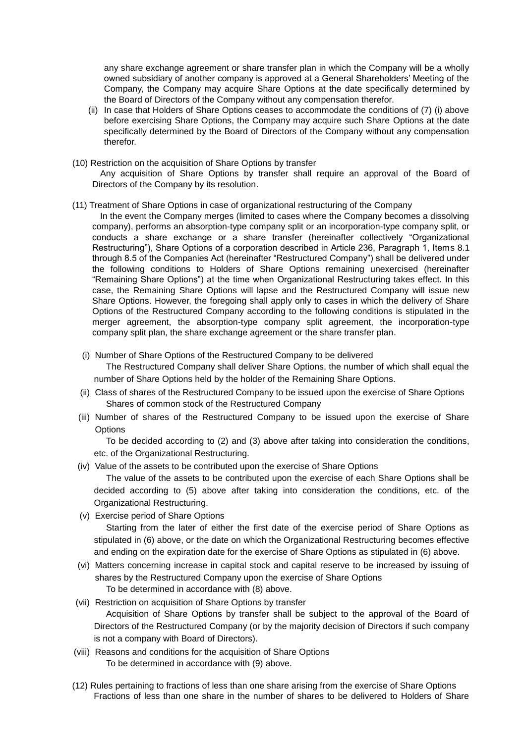any share exchange agreement or share transfer plan in which the Company will be a wholly owned subsidiary of another company is approved at a General Shareholders' Meeting of the Company, the Company may acquire Share Options at the date specifically determined by the Board of Directors of the Company without any compensation therefor.

- (ii) In case that Holders of Share Options ceases to accommodate the conditions of (7) (i) above before exercising Share Options, the Company may acquire such Share Options at the date specifically determined by the Board of Directors of the Company without any compensation therefor.
- (10) Restriction on the acquisition of Share Options by transfer Any acquisition of Share Options by transfer shall require an approval of the Board of Directors of the Company by its resolution.
- (11) Treatment of Share Options in case of organizational restructuring of the Company
	- In the event the Company merges (limited to cases where the Company becomes a dissolving company), performs an absorption-type company split or an incorporation-type company split, or conducts a share exchange or a share transfer (hereinafter collectively "Organizational Restructuring"), Share Options of a corporation described in Article 236, Paragraph 1, Items 8.1 through 8.5 of the Companies Act (hereinafter "Restructured Company") shall be delivered under the following conditions to Holders of Share Options remaining unexercised (hereinafter "Remaining Share Options") at the time when Organizational Restructuring takes effect. In this case, the Remaining Share Options will lapse and the Restructured Company will issue new Share Options. However, the foregoing shall apply only to cases in which the delivery of Share Options of the Restructured Company according to the following conditions is stipulated in the merger agreement, the absorption-type company split agreement, the incorporation-type company split plan, the share exchange agreement or the share transfer plan.
	- (i) Number of Share Options of the Restructured Company to be delivered

The Restructured Company shall deliver Share Options, the number of which shall equal the number of Share Options held by the holder of the Remaining Share Options.

- (ii) Class of shares of the Restructured Company to be issued upon the exercise of Share Options Shares of common stock of the Restructured Company
- (iii) Number of shares of the Restructured Company to be issued upon the exercise of Share **Options**

To be decided according to (2) and (3) above after taking into consideration the conditions, etc. of the Organizational Restructuring.

(iv) Value of the assets to be contributed upon the exercise of Share Options

The value of the assets to be contributed upon the exercise of each Share Options shall be decided according to (5) above after taking into consideration the conditions, etc. of the Organizational Restructuring.

(v) Exercise period of Share Options

Starting from the later of either the first date of the exercise period of Share Options as stipulated in (6) above, or the date on which the Organizational Restructuring becomes effective and ending on the expiration date for the exercise of Share Options as stipulated in (6) above.

- (vi) Matters concerning increase in capital stock and capital reserve to be increased by issuing of shares by the Restructured Company upon the exercise of Share Options To be determined in accordance with (8) above.
- (vii) Restriction on acquisition of Share Options by transfer Acquisition of Share Options by transfer shall be subject to the approval of the Board of Directors of the Restructured Company (or by the majority decision of Directors if such company is not a company with Board of Directors).
- (viii) Reasons and conditions for the acquisition of Share Options To be determined in accordance with (9) above.
- (12) Rules pertaining to fractions of less than one share arising from the exercise of Share Options Fractions of less than one share in the number of shares to be delivered to Holders of Share